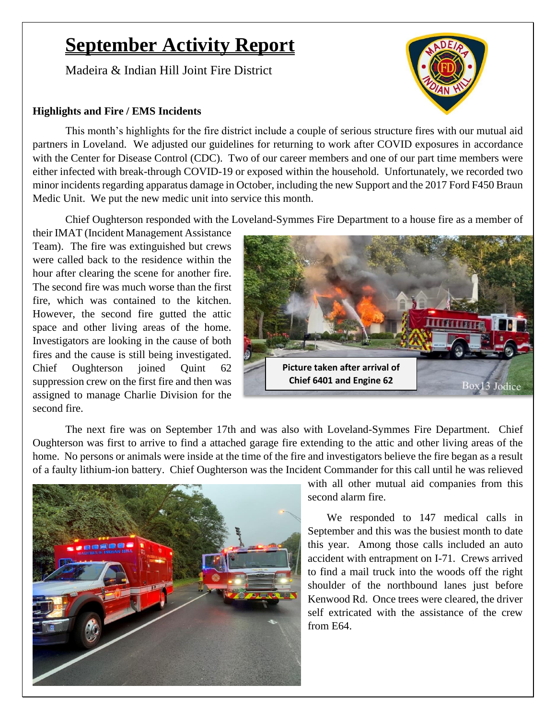# **September Activity Report**

Madeira & Indian Hill Joint Fire District

### **Highlights and Fire / EMS Incidents**

This month's highlights for the fire district include a couple of serious structure fires with our mutual aid partners in Loveland. We adjusted our guidelines for returning to work after COVID exposures in accordance with the Center for Disease Control (CDC). Two of our career members and one of our part time members were either infected with break-through COVID-19 or exposed within the household. Unfortunately, we recorded two minor incidents regarding apparatus damage in October, including the new Support and the 2017 Ford F450 Braun Medic Unit. We put the new medic unit into service this month.

Chief Oughterson responded with the Loveland-Symmes Fire Department to a house fire as a member of

their IMAT (Incident Management Assistance Team). The fire was extinguished but crews were called back to the residence within the hour after clearing the scene for another fire. The second fire was much worse than the first fire, which was contained to the kitchen. However, the second fire gutted the attic space and other living areas of the home. Investigators are looking in the cause of both fires and the cause is still being investigated. Chief Oughterson joined Quint 62 suppression crew on the first fire and then was assigned to manage Charlie Division for the second fire.



The next fire was on September 17th and was also with Loveland-Symmes Fire Department. Chief Oughterson was first to arrive to find a attached garage fire extending to the attic and other living areas of the home. No persons or animals were inside at the time of the fire and investigators believe the fire began as a result of a faulty lithium-ion battery. Chief Oughterson was the Incident Commander for this call until he was relieved



with all other mutual aid companies from this second alarm fire.

We responded to 147 medical calls in September and this was the busiest month to date this year. Among those calls included an auto accident with entrapment on I-71. Crews arrived to find a mail truck into the woods off the right shoulder of the northbound lanes just before Kenwood Rd. Once trees were cleared, the driver self extricated with the assistance of the crew from E64.

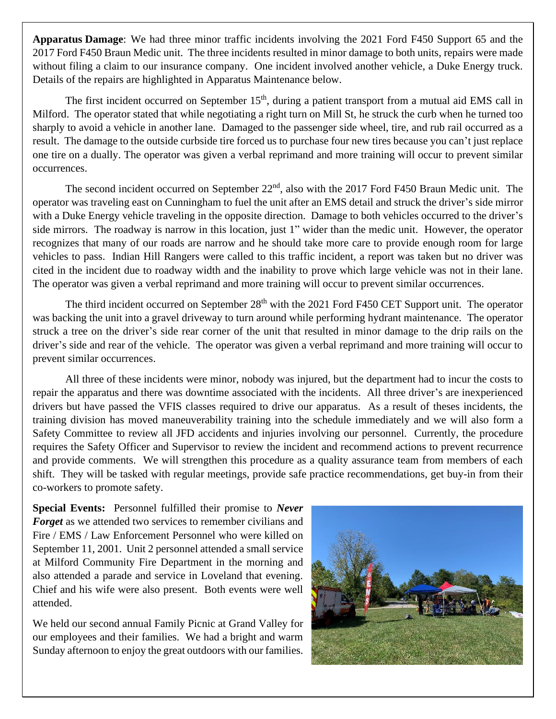**Apparatus Damage**: We had three minor traffic incidents involving the 2021 Ford F450 Support 65 and the 2017 Ford F450 Braun Medic unit. The three incidents resulted in minor damage to both units, repairs were made without filing a claim to our insurance company. One incident involved another vehicle, a Duke Energy truck. Details of the repairs are highlighted in Apparatus Maintenance below.

The first incident occurred on September  $15<sup>th</sup>$ , during a patient transport from a mutual aid EMS call in Milford. The operator stated that while negotiating a right turn on Mill St, he struck the curb when he turned too sharply to avoid a vehicle in another lane. Damaged to the passenger side wheel, tire, and rub rail occurred as a result. The damage to the outside curbside tire forced us to purchase four new tires because you can't just replace one tire on a dually. The operator was given a verbal reprimand and more training will occur to prevent similar occurrences.

The second incident occurred on September 22<sup>nd</sup>, also with the 2017 Ford F450 Braun Medic unit. The operator was traveling east on Cunningham to fuel the unit after an EMS detail and struck the driver's side mirror with a Duke Energy vehicle traveling in the opposite direction. Damage to both vehicles occurred to the driver's side mirrors. The roadway is narrow in this location, just 1" wider than the medic unit. However, the operator recognizes that many of our roads are narrow and he should take more care to provide enough room for large vehicles to pass. Indian Hill Rangers were called to this traffic incident, a report was taken but no driver was cited in the incident due to roadway width and the inability to prove which large vehicle was not in their lane. The operator was given a verbal reprimand and more training will occur to prevent similar occurrences.

The third incident occurred on September 28<sup>th</sup> with the 2021 Ford F450 CET Support unit. The operator was backing the unit into a gravel driveway to turn around while performing hydrant maintenance. The operator struck a tree on the driver's side rear corner of the unit that resulted in minor damage to the drip rails on the driver's side and rear of the vehicle. The operator was given a verbal reprimand and more training will occur to prevent similar occurrences.

All three of these incidents were minor, nobody was injured, but the department had to incur the costs to repair the apparatus and there was downtime associated with the incidents. All three driver's are inexperienced drivers but have passed the VFIS classes required to drive our apparatus. As a result of theses incidents, the training division has moved maneuverability training into the schedule immediately and we will also form a Safety Committee to review all JFD accidents and injuries involving our personnel. Currently, the procedure requires the Safety Officer and Supervisor to review the incident and recommend actions to prevent recurrence and provide comments. We will strengthen this procedure as a quality assurance team from members of each shift. They will be tasked with regular meetings, provide safe practice recommendations, get buy-in from their co-workers to promote safety.

**Special Events:** Personnel fulfilled their promise to *Never Forget* as we attended two services to remember civilians and Fire / EMS / Law Enforcement Personnel who were killed on September 11, 2001. Unit 2 personnel attended a small service at Milford Community Fire Department in the morning and also attended a parade and service in Loveland that evening. Chief and his wife were also present. Both events were well attended.

We held our second annual Family Picnic at Grand Valley for our employees and their families. We had a bright and warm Sunday afternoon to enjoy the great outdoors with our families.

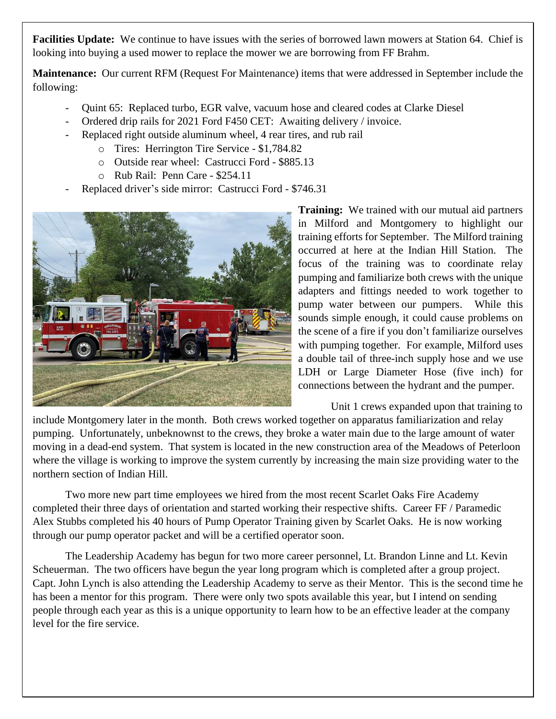**Facilities Update:** We continue to have issues with the series of borrowed lawn mowers at Station 64. Chief is looking into buying a used mower to replace the mower we are borrowing from FF Brahm.

**Maintenance:** Our current RFM (Request For Maintenance) items that were addressed in September include the following:

- Quint 65: Replaced turbo, EGR valve, vacuum hose and cleared codes at Clarke Diesel
- Ordered drip rails for 2021 Ford F450 CET: Awaiting delivery / invoice.
- Replaced right outside aluminum wheel, 4 rear tires, and rub rail
	- o Tires: Herrington Tire Service \$1,784.82
	- o Outside rear wheel: Castrucci Ford \$885.13
	- o Rub Rail: Penn Care \$254.11
- Replaced driver's side mirror: Castrucci Ford \$746.31



**Training:** We trained with our mutual aid partners in Milford and Montgomery to highlight our training efforts for September. The Milford training occurred at here at the Indian Hill Station. The focus of the training was to coordinate relay pumping and familiarize both crews with the unique adapters and fittings needed to work together to pump water between our pumpers. While this sounds simple enough, it could cause problems on the scene of a fire if you don't familiarize ourselves with pumping together. For example, Milford uses a double tail of three-inch supply hose and we use LDH or Large Diameter Hose (five inch) for connections between the hydrant and the pumper.

Unit 1 crews expanded upon that training to include Montgomery later in the month. Both crews worked together on apparatus familiarization and relay pumping. Unfortunately, unbeknownst to the crews, they broke a water main due to the large amount of water moving in a dead-end system. That system is located in the new construction area of the Meadows of Peterloon where the village is working to improve the system currently by increasing the main size providing water to the northern section of Indian Hill.

Two more new part time employees we hired from the most recent Scarlet Oaks Fire Academy completed their three days of orientation and started working their respective shifts. Career FF / Paramedic Alex Stubbs completed his 40 hours of Pump Operator Training given by Scarlet Oaks. He is now working through our pump operator packet and will be a certified operator soon.

The Leadership Academy has begun for two more career personnel, Lt. Brandon Linne and Lt. Kevin Scheuerman. The two officers have begun the year long program which is completed after a group project. Capt. John Lynch is also attending the Leadership Academy to serve as their Mentor. This is the second time he has been a mentor for this program. There were only two spots available this year, but I intend on sending people through each year as this is a unique opportunity to learn how to be an effective leader at the company level for the fire service.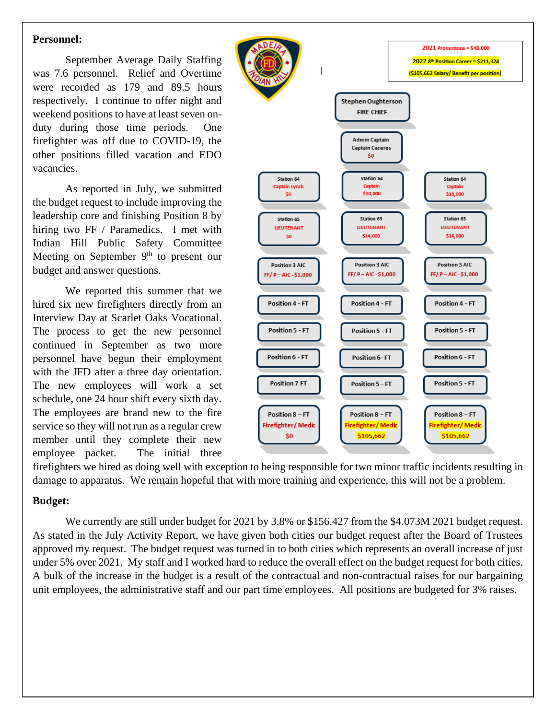#### **Personnel:**

September Average Daily Staffing was 7.6 personnel. Relief and Overtime were recorded as 179 and 89.5 hours respectively. I continue to offer night and weekend positions to have at least seven onduty during those time periods. One firefighter was off due to COVID-19, the other positions filled vacation and EDO vacancies.

As reported in July, we submitted the budget request to include improving the leadership core and finishing Position 8 by hiring two FF / Paramedics. I met with Indian Hill Public Safety Committee Meeting on September 9<sup>th</sup> to present our budget and answer questions.

We reported this summer that we hired six new firefighters directly from an Interview Day at Scarlet Oaks Vocational. The process to get the new personnel continued in September as two more personnel have begun their employment with the JFD after a three day orientation. The new employees will work a set schedule, one 24 hour shift every sixth day. The employees are brand new to the fire service so they will not run as a regular crew member until they complete their new employee packet. The initial three



firefighters we hired as doing well with exception to being responsible for two minor traffic incidents resulting in damage to apparatus. We remain hopeful that with more training and experience, this will not be a problem.

#### **Budget:**

We currently are still under budget for 2021 by 3.8% or \$156,427 from the \$4.073M 2021 budget request. As stated in the July Activity Report, we have given both cities our budget request after the Board of Trustees approved my request. The budget request was turned in to both cities which represents an overall increase of just under 5% over 2021. My staff and I worked hard to reduce the overall effect on the budget request for both cities. A bulk of the increase in the budget is a result of the contractual and non-contractual raises for our bargaining unit employees, the administrative staff and our part time employees. All positions are budgeted for 3% raises.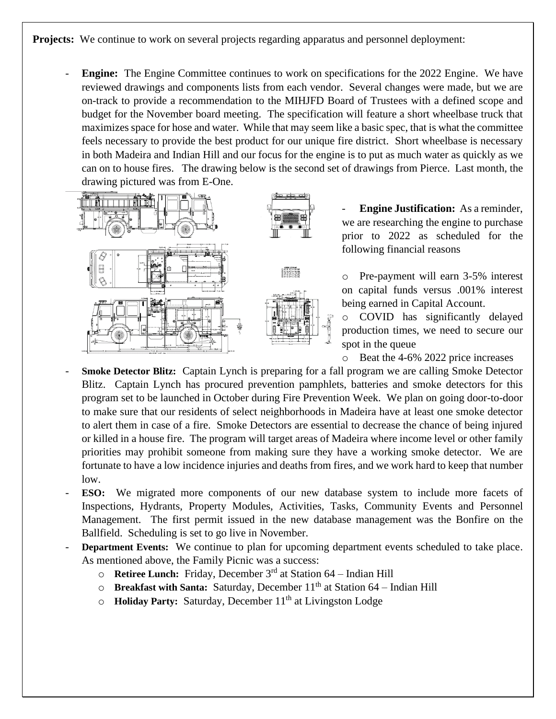**Projects:** We continue to work on several projects regarding apparatus and personnel deployment:

**Engine:** The Engine Committee continues to work on specifications for the 2022 Engine. We have reviewed drawings and components lists from each vendor. Several changes were made, but we are on-track to provide a recommendation to the MIHJFD Board of Trustees with a defined scope and budget for the November board meeting. The specification will feature a short wheelbase truck that maximizes space for hose and water. While that may seem like a basic spec, that is what the committee feels necessary to provide the best product for our unique fire district. Short wheelbase is necessary in both Madeira and Indian Hill and our focus for the engine is to put as much water as quickly as we can on to house fires. The drawing below is the second set of drawings from Pierce. Last month, the drawing pictured was from E-One.



**Engine Justification:** As a reminder, we are researching the engine to purchase prior to 2022 as scheduled for the following financial reasons

o Pre-payment will earn 3-5% interest on capital funds versus .001% interest being earned in Capital Account.

o COVID has significantly delayed production times, we need to secure our spot in the queue

o Beat the 4-6% 2022 price increases

- **Smoke Detector Blitz:** Captain Lynch is preparing for a fall program we are calling Smoke Detector Blitz. Captain Lynch has procured prevention pamphlets, batteries and smoke detectors for this program set to be launched in October during Fire Prevention Week. We plan on going door-to-door to make sure that our residents of select neighborhoods in Madeira have at least one smoke detector to alert them in case of a fire. Smoke Detectors are essential to decrease the chance of being injured or killed in a house fire. The program will target areas of Madeira where income level or other family priorities may prohibit someone from making sure they have a working smoke detector. We are fortunate to have a low incidence injuries and deaths from fires, and we work hard to keep that number low.
- **ESO:** We migrated more components of our new database system to include more facets of Inspections, Hydrants, Property Modules, Activities, Tasks, Community Events and Personnel Management. The first permit issued in the new database management was the Bonfire on the Ballfield. Scheduling is set to go live in November.
- **Department Events:** We continue to plan for upcoming department events scheduled to take place. As mentioned above, the Family Picnic was a success:
	- o **Retiree Lunch:** Friday, December 3rd at Station 64 Indian Hill
	- o **Breakfast with Santa:** Saturday, December 11<sup>th</sup> at Station 64 Indian Hill
	- o **Holiday Party:** Saturday, December 11<sup>th</sup> at Livingston Lodge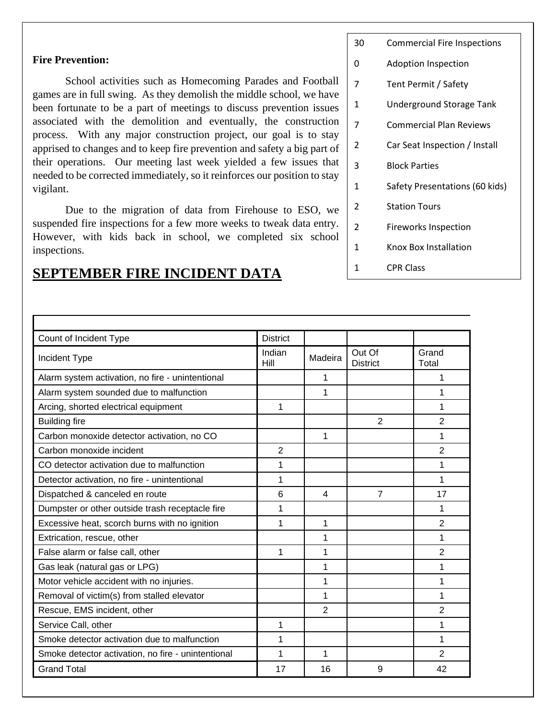#### **Fire Prevention:**

Г

School activities such as Homecoming Parades and Football games are in full swing. As they demolish the middle school, we have been fortunate to be a part of meetings to discuss prevention issues associated with the demolition and eventually, the construction process. With any major construction project, our goal is to stay apprised to changes and to keep fire prevention and safety a big part of their operations. Our meeting last week yielded a few issues that needed to be corrected immediately, so it reinforces our position to stay vigilant.

Due to the migration of data from Firehouse to ESO, we suspended fire inspections for a few more weeks to tweak data entry. However, with kids back in school, we completed six school inspections.

#### 30 Commercial Fire Inspections

- 0 Adoption Inspection
- 7 Tent Permit / Safety
- 1 Underground Storage Tank
- 7 Commercial Plan Reviews
- 2 Car Seat Inspection / Install
- 3 Block Parties
- 1 Safety Presentations (60 kids)
- 2 Station Tours
- 2 Fireworks Inspection
- 1 Knox Box Installation
- 1 CPR Class

| Count of Incident Type                             | <b>District</b> |                |                           |                |  |
|----------------------------------------------------|-----------------|----------------|---------------------------|----------------|--|
| Incident Type                                      | Indian<br>Hill  | Madeira        | Out Of<br><b>District</b> | Grand<br>Total |  |
| Alarm system activation, no fire - unintentional   |                 | 1              |                           | 1              |  |
| Alarm system sounded due to malfunction            |                 | 1              |                           | 1              |  |
| Arcing, shorted electrical equipment               | 1               |                |                           | 1              |  |
| <b>Building fire</b>                               |                 |                | $\overline{2}$            | 2              |  |
| Carbon monoxide detector activation, no CO         |                 | 1              |                           | 1              |  |
| Carbon monoxide incident                           | $\overline{2}$  |                |                           | 2              |  |
| CO detector activation due to malfunction          | 1               |                |                           | 1              |  |
| Detector activation, no fire - unintentional       | 1               |                |                           | 1              |  |
| Dispatched & canceled en route                     | 6               | 4              | 7                         | 17             |  |
| Dumpster or other outside trash receptacle fire    | 1               |                |                           | 1              |  |
| Excessive heat, scorch burns with no ignition      | 1               | 1              |                           | 2              |  |
| Extrication, rescue, other                         |                 | 1              |                           | 1              |  |
| False alarm or false call, other                   | 1               | 1              |                           | 2              |  |
| Gas leak (natural gas or LPG)                      |                 | 1              |                           | 1              |  |
| Motor vehicle accident with no injuries.           |                 | 1              |                           | 1              |  |
| Removal of victim(s) from stalled elevator         |                 | 1              |                           | 1              |  |
| Rescue, EMS incident, other                        |                 | $\overline{2}$ |                           | 2              |  |
| Service Call, other                                | 1               |                |                           | 1              |  |
| Smoke detector activation due to malfunction       | 1               |                |                           | 1              |  |
| Smoke detector activation, no fire - unintentional | 1               | 1              |                           | 2              |  |
| <b>Grand Total</b>                                 | 17              | 16             | 9                         | 42             |  |

### **SEPTEMBER FIRE INCIDENT DATA**